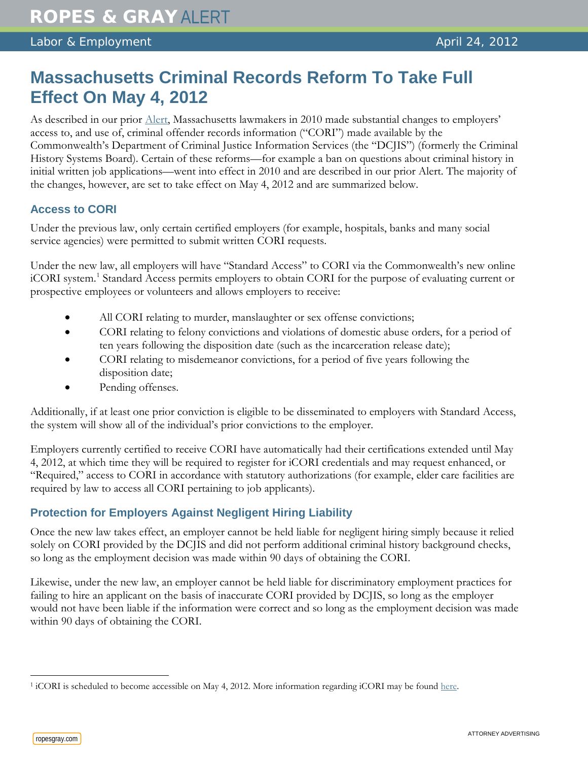## **Massachusetts Criminal Records Reform To Take Full Effect On May 4, 2012**

As described in our prior [Alert,](http://www.ropesgray.com/files/Publication/4c7ff142-3339-40be-8946-0d2f324aa8ea/Presentation/PublicationAttachment/6439d4c7-85e9-48bc-86c8-0ecf2b81e5a3/RopesGray_LaborEmploymentAlert_081110.pdf) Massachusetts lawmakers in 2010 made substantial changes to employers' access to, and use of, criminal offender records information ("CORI") made available by the Commonwealth's Department of Criminal Justice Information Services (the "DCJIS") (formerly the Criminal History Systems Board). Certain of these reforms—for example a ban on questions about criminal history in initial written job applications—went into effect in 2010 and are described in our prior Alert. The majority of the changes, however, are set to take effect on May 4, 2012 and are summarized below.

## **Access to CORI**

Under the previous law, only certain certified employers (for example, hospitals, banks and many social service agencies) were permitted to submit written CORI requests.

Under the new law, all employers will have "Standard Access" to CORI via the Commonwealth's new online iCORI system.<sup>[1](#page-0-0)</sup> Standard Access permits employers to obtain CORI for the purpose of evaluating current or prospective employees or volunteers and allows employers to receive:

- All CORI relating to murder, manslaughter or sex offense convictions;
- CORI relating to felony convictions and violations of domestic abuse orders, for a period of ten years following the disposition date (such as the incarceration release date);
- CORI relating to misdemeanor convictions, for a period of five years following the disposition date;
- Pending offenses.

Additionally, if at least one prior conviction is eligible to be disseminated to employers with Standard Access, the system will show all of the individual's prior convictions to the employer.

Employers currently certified to receive CORI have automatically had their certifications extended until May 4, 2012, at which time they will be required to register for iCORI credentials and may request enhanced, or "Required," access to CORI in accordance with statutory authorizations (for example, elder care facilities are required by law to access all CORI pertaining to job applicants).

## **Protection for Employers Against Negligent Hiring Liability**

Once the new law takes effect, an employer cannot be held liable for negligent hiring simply because it relied solely on CORI provided by the DCJIS and did not perform additional criminal history background checks, so long as the employment decision was made within 90 days of obtaining the CORI.

Likewise, under the new law, an employer cannot be held liable for discriminatory employment practices for failing to hire an applicant on the basis of inaccurate CORI provided by DCJIS, so long as the employer would not have been liable if the information were correct and so long as the employment decision was made within 90 days of obtaining the CORI.

<span id="page-0-0"></span> $\overline{a}$ <sup>1</sup> iCORI is scheduled to become accessible on May 4, 2012. More information regarding iCORI may be found [here.](http://www.mass.gov/cjis)